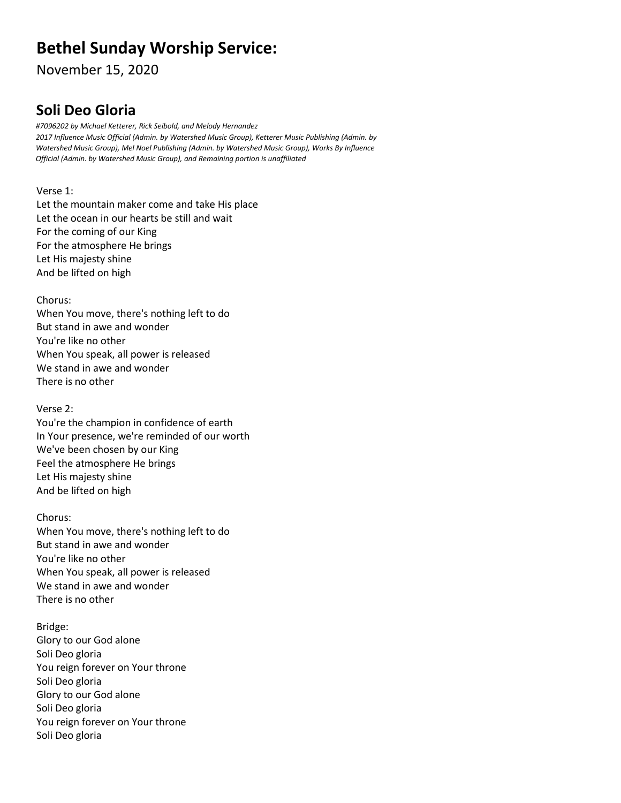# **Bethel Sunday Worship Service:**

November 15, 2020

# **Soli Deo Gloria**

*#7096202 by Michael Ketterer, Rick Seibold, and Melody Hernandez 2017 Influence Music Official (Admin. by Watershed Music Group), Ketterer Music Publishing (Admin. by Watershed Music Group), Mel Noel Publishing (Admin. by Watershed Music Group), Works By Influence Official (Admin. by Watershed Music Group), and Remaining portion is unaffiliated*

Verse 1:

Let the mountain maker come and take His place Let the ocean in our hearts be still and wait For the coming of our King For the atmosphere He brings Let His majesty shine And be lifted on high

Chorus:

When You move, there's nothing left to do But stand in awe and wonder You're like no other When You speak, all power is released We stand in awe and wonder There is no other

#### Verse 2:

You're the champion in confidence of earth In Your presence, we're reminded of our worth We've been chosen by our King Feel the atmosphere He brings Let His majesty shine And be lifted on high

Chorus:

When You move, there's nothing left to do But stand in awe and wonder You're like no other When You speak, all power is released We stand in awe and wonder There is no other

Bridge: Glory to our God alone Soli Deo gloria You reign forever on Your throne Soli Deo gloria Glory to our God alone Soli Deo gloria You reign forever on Your throne Soli Deo gloria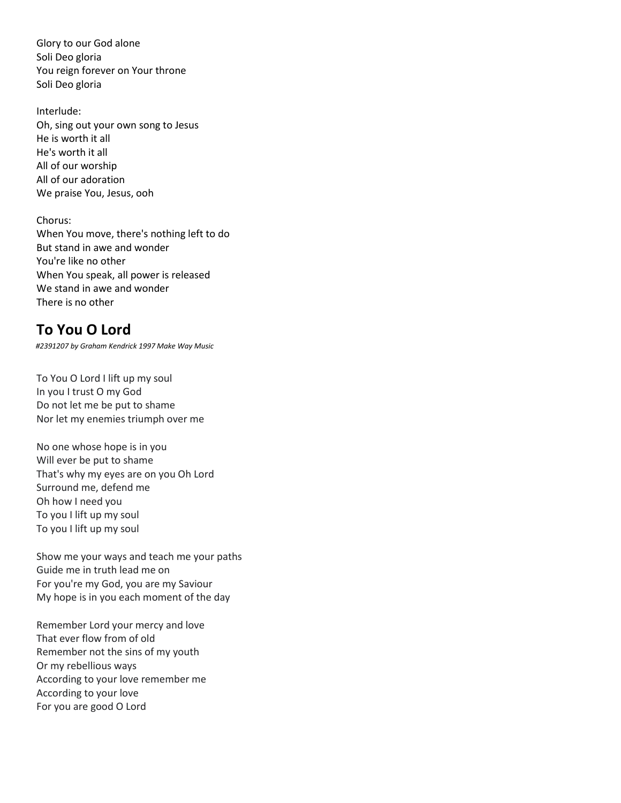Glory to our God alone Soli Deo gloria You reign forever on Your throne Soli Deo gloria

Interlude: Oh, sing out your own song to Jesus He is worth it all He's worth it all All of our worship All of our adoration We praise You, Jesus, ooh

Chorus: When You move, there's nothing left to do But stand in awe and wonder You're like no other When You speak, all power is released We stand in awe and wonder There is no other

# **To You O Lord**

*#2391207 by Graham Kendrick 1997 Make Way Music*

To You O Lord I lift up my soul In you I trust O my God Do not let me be put to shame Nor let my enemies triumph over me

No one whose hope is in you Will ever be put to shame That's why my eyes are on you Oh Lord Surround me, defend me Oh how I need you To you I lift up my soul To you I lift up my soul

Show me your ways and teach me your paths Guide me in truth lead me on For you're my God, you are my Saviour My hope is in you each moment of the day

Remember Lord your mercy and love That ever flow from of old Remember not the sins of my youth Or my rebellious ways According to your love remember me According to your love For you are good O Lord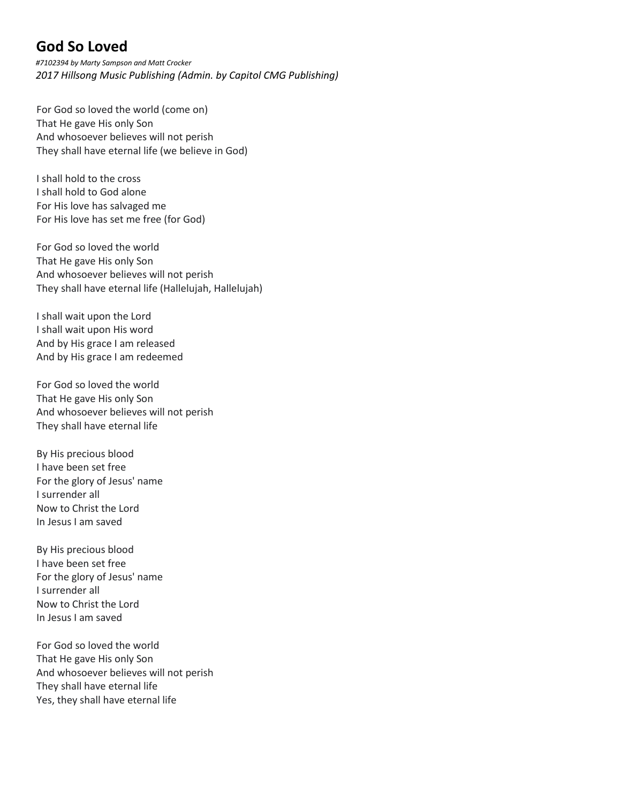# **God So Loved**

*#7102394 by Marty Sampson and Matt Crocker 2017 Hillsong Music Publishing (Admin. by Capitol CMG Publishing)*

For God so loved the world (come on) That He gave His only Son And whosoever believes will not perish They shall have eternal life (we believe in God)

I shall hold to the cross I shall hold to God alone For His love has salvaged me For His love has set me free (for God)

For God so loved the world That He gave His only Son And whosoever believes will not perish They shall have eternal life (Hallelujah, Hallelujah)

I shall wait upon the Lord I shall wait upon His word And by His grace I am released And by His grace I am redeemed

For God so loved the world That He gave His only Son And whosoever believes will not perish They shall have eternal life

By His precious blood I have been set free For the glory of Jesus' name I surrender all Now to Christ the Lord In Jesus I am saved

By His precious blood I have been set free For the glory of Jesus' name I surrender all Now to Christ the Lord In Jesus I am saved

For God so loved the world That He gave His only Son And whosoever believes will not perish They shall have eternal life Yes, they shall have eternal life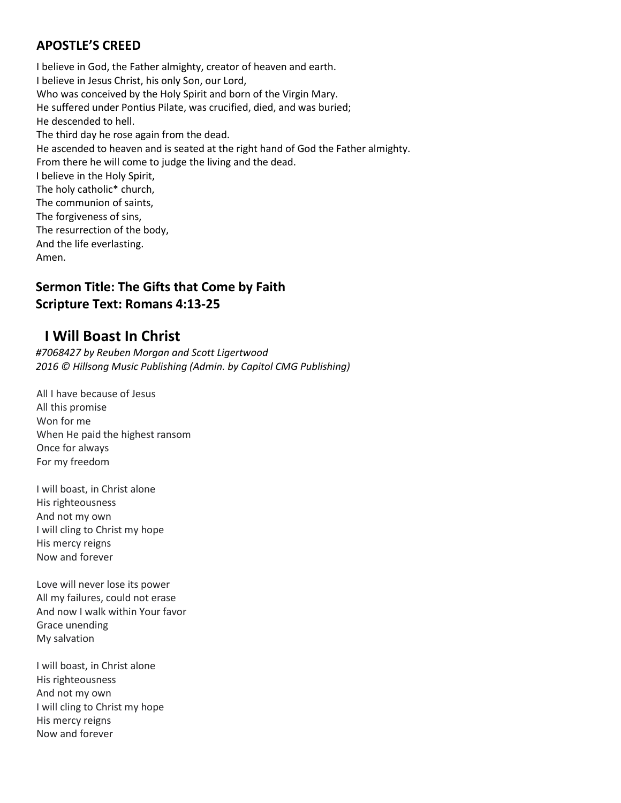#### **APOSTLE'S CREED**

I believe in God, the Father almighty, creator of heaven and earth. I believe in Jesus Christ, his only Son, our Lord, Who was conceived by the Holy Spirit and born of the Virgin Mary. He suffered under Pontius Pilate, was crucified, died, and was buried; He descended to hell. The third day he rose again from the dead. He ascended to heaven and is seated at the right hand of God the Father almighty. From there he will come to judge the living and the dead. I believe in the Holy Spirit, The holy catholic\* church, The communion of saints, The forgiveness of sins, The resurrection of the body, And the life everlasting. Amen.

#### **Sermon Title: The Gifts that Come by Faith Scripture Text: Romans 4:13-25**

### **I Will Boast In Christ**

*#7068427 by Reuben Morgan and Scott Ligertwood 2016 © Hillsong Music Publishing (Admin. by Capitol CMG Publishing)*

All I have because of Jesus All this promise Won for me When He paid the highest ransom Once for always For my freedom

I will boast, in Christ alone His righteousness And not my own I will cling to Christ my hope His mercy reigns Now and forever

Love will never lose its power All my failures, could not erase And now I walk within Your favor Grace unending My salvation

I will boast, in Christ alone His righteousness And not my own I will cling to Christ my hope His mercy reigns Now and forever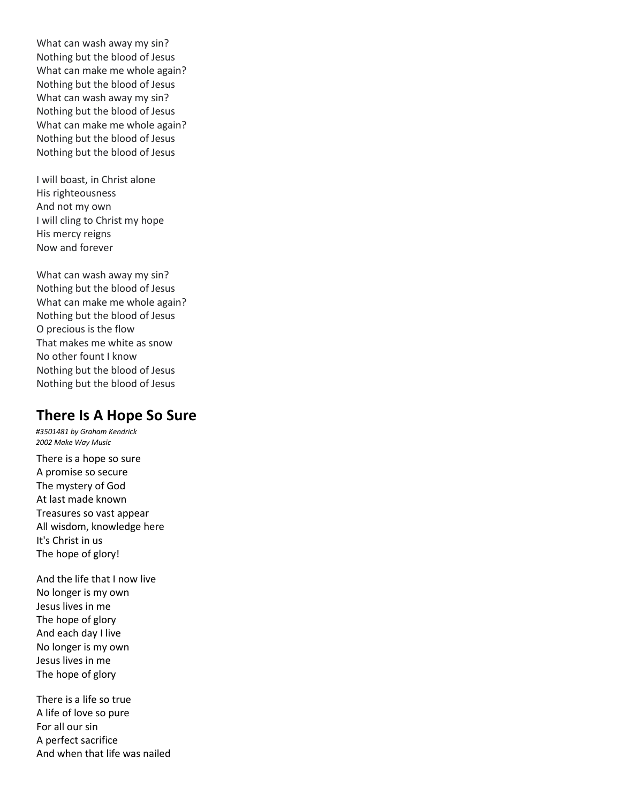What can wash away my sin? Nothing but the blood of Jesus What can make me whole again? Nothing but the blood of Jesus What can wash away my sin? Nothing but the blood of Jesus What can make me whole again? Nothing but the blood of Jesus Nothing but the blood of Jesus

I will boast, in Christ alone His righteousness And not my own I will cling to Christ my hope His mercy reigns Now and forever

What can wash away my sin? Nothing but the blood of Jesus What can make me whole again? Nothing but the blood of Jesus O precious is the flow That makes me white as snow No other fount I know Nothing but the blood of Jesus Nothing but the blood of Jesus

#### **There Is A Hope So Sure**

*#3501481 by Graham Kendrick 2002 Make Way Music*

There is a hope so sure A promise so secure The mystery of God At last made known Treasures so vast appear All wisdom, knowledge here It's Christ in us The hope of glory!

And the life that I now live No longer is my own Jesus lives in me The hope of glory And each day I live No longer is my own Jesus lives in me The hope of glory

There is a life so true A life of love so pure For all our sin A perfect sacrifice And when that life was nailed